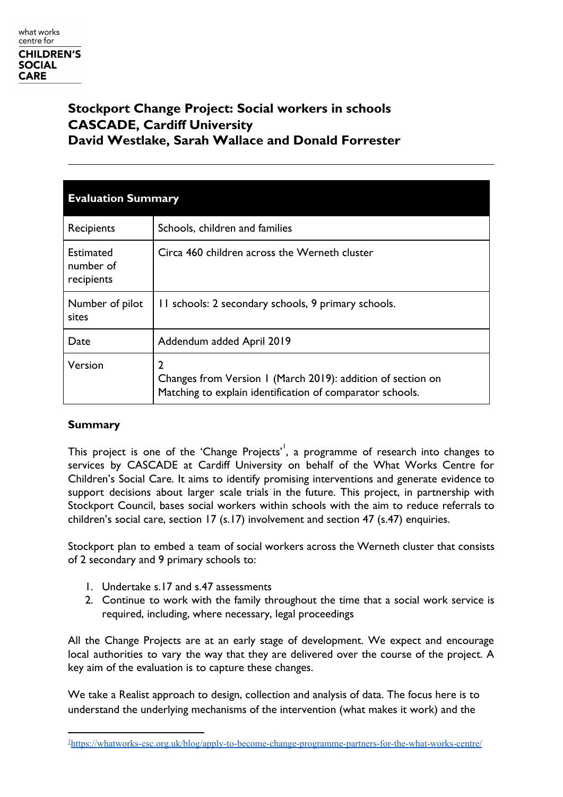# **Stockport Change Project: Social workers in schools CASCADE, Cardiff University David Westlake, Sarah Wallace and Donald Forrester**

| <b>Evaluation Summary</b>                   |                                                                                                                               |  |
|---------------------------------------------|-------------------------------------------------------------------------------------------------------------------------------|--|
| Recipients                                  | Schools, children and families                                                                                                |  |
| <b>Estimated</b><br>number of<br>recipients | Circa 460 children across the Werneth cluster                                                                                 |  |
| Number of pilot<br>sites                    | II schools: 2 secondary schools, 9 primary schools.                                                                           |  |
| Date                                        | Addendum added April 2019                                                                                                     |  |
| Version                                     | 2<br>Changes from Version 1 (March 2019): addition of section on<br>Matching to explain identification of comparator schools. |  |

# **Summary**

This project is one of the 'Change Projects'  $\overline{ }$ , a programme of research into changes to services by CASCADE at Cardiff University on behalf of the What Works Centre for Children's Social Care. It aims to identify promising interventions and generate evidence to support decisions about larger scale trials in the future. This project, in partnership with Stockport Council, bases social workers within schools with the aim to reduce referrals to children's social care, section 17 (s.17) involvement and section 47 (s.47) enquiries.

Stockport plan to embed a team of social workers across the Werneth cluster that consists of 2 secondary and 9 primary schools to:

- 1. Undertake s.17 and s.47 assessments
- 2. Continue to work with the family throughout the time that a social work service is required, including, where necessary, legal proceedings

All the Change Projects are at an early stage of development. We expect and encourage local authorities to vary the way that they are delivered over the course of the project. A key aim of the evaluation is to capture these changes.

We take a Realist approach to design, collection and analysis of data. The focus here is to understand the underlying mechanisms of the intervention (what makes it work) and the

<sup>1</sup><https://whatworks-csc.org.uk/blog/apply-to-become-change-programme-partners-for-the-what-works-centre/>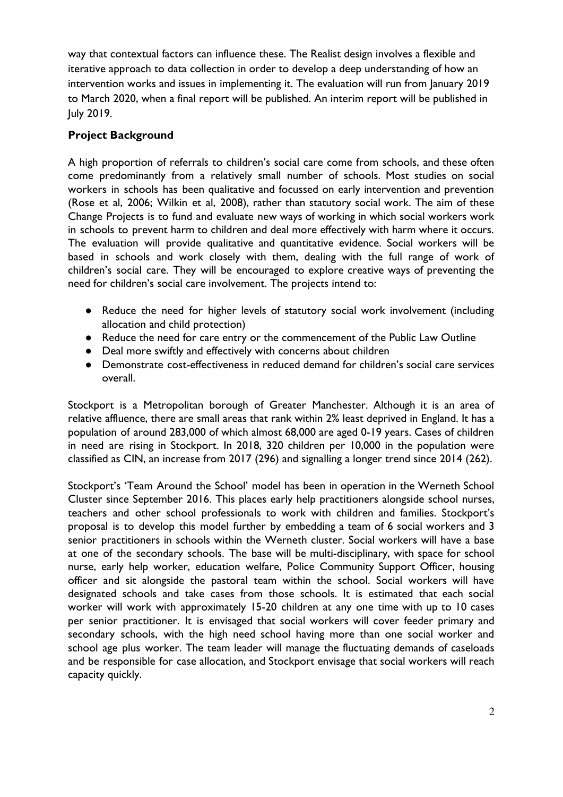way that contextual factors can influence these. The Realist design involves a flexible and iterative approach to data collection in order to develop a deep understanding of how an intervention works and issues in implementing it. The evaluation will run from January 2019 to March 2020, when a final report will be published. An interim report will be published in July 2019.

# **Project Background**

A high proportion of referrals to children's social care come from schools, and these often come predominantly from a relatively small number of schools. Most studies on social workers in schools has been qualitative and focussed on early intervention and prevention (Rose et al, 2006; Wilkin et al, 2008), rather than statutory social work. The aim of these Change Projects is to fund and evaluate new ways of working in which social workers work in schools to prevent harm to children and deal more effectively with harm where it occurs. The evaluation will provide qualitative and quantitative evidence. Social workers will be based in schools and work closely with them, dealing with the full range of work of children's social care. They will be encouraged to explore creative ways of preventing the need for children's social care involvement. The projects intend to:

- Reduce the need for higher levels of statutory social work involvement (including allocation and child protection)
- Reduce the need for care entry or the commencement of the Public Law Outline
- Deal more swiftly and effectively with concerns about children
- Demonstrate cost-effectiveness in reduced demand for children's social care services overall.

Stockport is a Metropolitan borough of Greater Manchester. Although it is an area of relative affluence, there are small areas that rank within 2% least deprived in England. It has a population of around 283,000 of which almost 68,000 are aged 0-19 years. Cases of children in need are rising in Stockport. In 2018, 320 children per 10,000 in the population were classified as CIN, an increase from 2017 (296) and signalling a longer trend since 2014 (262).

Stockport's 'Team Around the School' model has been in operation in the Werneth School Cluster since September 2016. This places early help practitioners alongside school nurses, teachers and other school professionals to work with children and families. Stockport's proposal is to develop this model further by embedding a team of 6 social workers and 3 senior practitioners in schools within the Werneth cluster. Social workers will have a base at one of the secondary schools. The base will be multi-disciplinary, with space for school nurse, early help worker, education welfare, Police Community Support Officer, housing officer and sit alongside the pastoral team within the school. Social workers will have designated schools and take cases from those schools. It is estimated that each social worker will work with approximately 15-20 children at any one time with up to 10 cases per senior practitioner. It is envisaged that social workers will cover feeder primary and secondary schools, with the high need school having more than one social worker and school age plus worker. The team leader will manage the fluctuating demands of caseloads and be responsible for case allocation, and Stockport envisage that social workers will reach capacity quickly.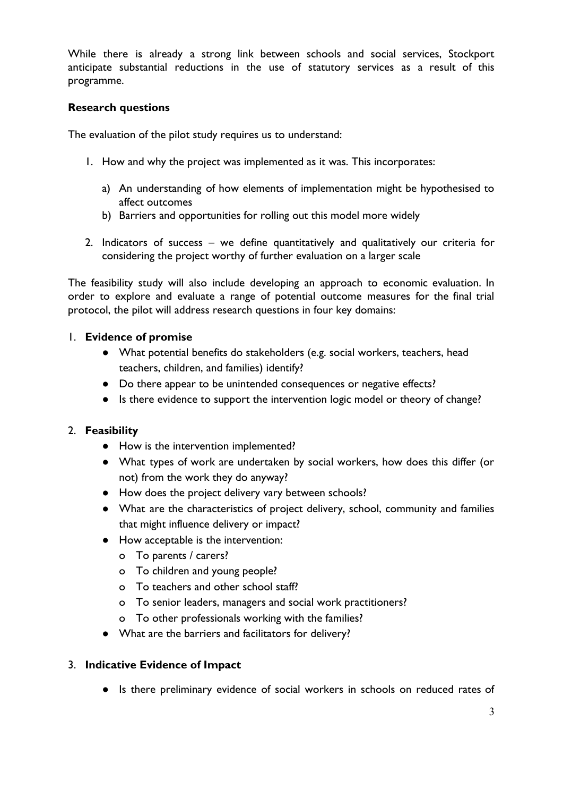While there is already a strong link between schools and social services, Stockport anticipate substantial reductions in the use of statutory services as a result of this programme.

### **Research questions**

The evaluation of the pilot study requires us to understand:

- 1. How and why the project was implemented as it was. This incorporates:
	- a) An understanding of how elements of implementation might be hypothesised to affect outcomes
	- b) Barriers and opportunities for rolling out this model more widely
- 2. Indicators of success we define quantitatively and qualitatively our criteria for considering the project worthy of further evaluation on a larger scale

The feasibility study will also include developing an approach to economic evaluation. In order to explore and evaluate a range of potential outcome measures for the final trial protocol, the pilot will address research questions in four key domains:

### 1. **Evidence of promise**

- What potential benefits do stakeholders (e.g. social workers, teachers, head teachers, children, and families) identify?
- Do there appear to be unintended consequences or negative effects?
- Is there evidence to support the intervention logic model or theory of change?

### 2. **Feasibility**

- How is the intervention implemented?
- What types of work are undertaken by social workers, how does this differ (or not) from the work they do anyway?
- How does the project delivery vary between schools?
- What are the characteristics of project delivery, school, community and families that might influence delivery or impact?
- How acceptable is the intervention:
	- o To parents / carers?
	- o To children and young people?
	- o To teachers and other school staff?
	- o To senior leaders, managers and social work practitioners?
	- o To other professionals working with the families?
- What are the barriers and facilitators for delivery?

#### 3. **Indicative Evidence of Impact**

● Is there preliminary evidence of social workers in schools on reduced rates of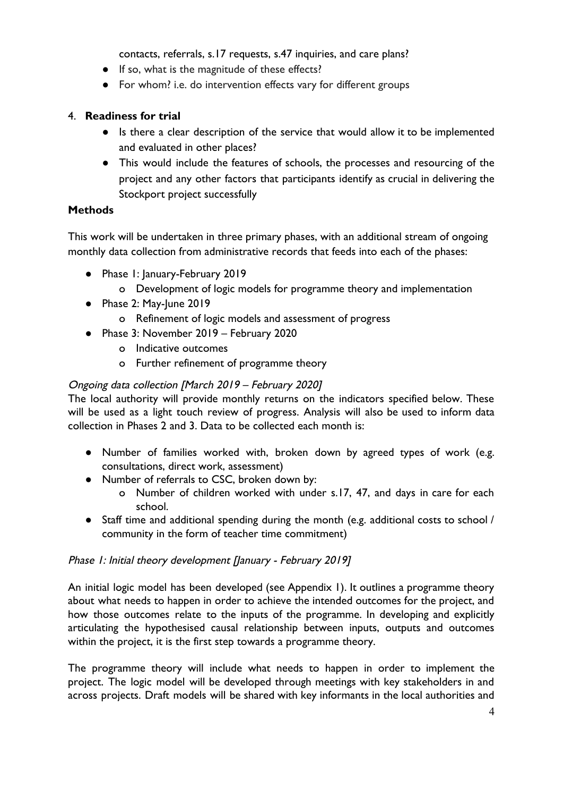contacts, referrals, s.17 requests, s.47 inquiries, and care plans?

- If so, what is the magnitude of these effects?
- For whom? i.e. do intervention effects vary for different groups

### 4. **Readiness for trial**

- Is there a clear description of the service that would allow it to be implemented and evaluated in other places?
- This would include the features of schools, the processes and resourcing of the project and any other factors that participants identify as crucial in delivering the Stockport project successfully

### **Methods**

This work will be undertaken in three primary phases, with an additional stream of ongoing monthly data collection from administrative records that feeds into each of the phases:

- Phase 1: January-February 2019
	- o Development of logic models for programme theory and implementation
- Phase 2: May-June 2019
	- o Refinement of logic models and assessment of progress
- Phase 3: November 2019 February 2020
	- o Indicative outcomes
	- o Further refinement of programme theory

### Ongoing data collection [March 2019 – February 2020]

The local authority will provide monthly returns on the indicators specified below. These will be used as a light touch review of progress. Analysis will also be used to inform data collection in Phases 2 and 3. Data to be collected each month is:

- Number of families worked with, broken down by agreed types of work (e.g. consultations, direct work, assessment)
- Number of referrals to CSC, broken down by:
	- o Number of children worked with under s.17, 47, and days in care for each school.
- Staff time and additional spending during the month (e.g. additional costs to school / community in the form of teacher time commitment)

### Phase 1: Initial theory development [January - February 2019]

An initial logic model has been developed (see Appendix 1). It outlines a programme theory about what needs to happen in order to achieve the intended outcomes for the project, and how those outcomes relate to the inputs of the programme. In developing and explicitly articulating the hypothesised causal relationship between inputs, outputs and outcomes within the project, it is the first step towards a programme theory.

The programme theory will include what needs to happen in order to implement the project. The logic model will be developed through meetings with key stakeholders in and across projects. Draft models will be shared with key informants in the local authorities and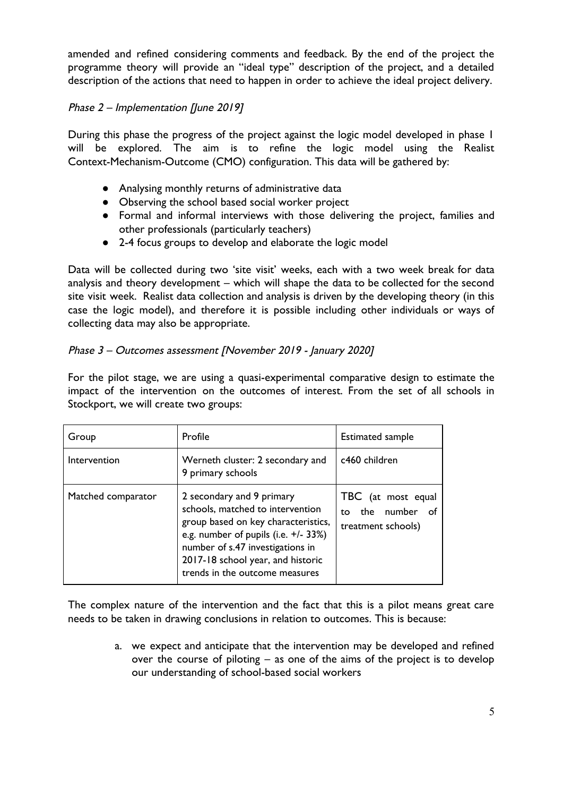amended and refined considering comments and feedback. By the end of the project the programme theory will provide an "ideal type" description of the project, and a detailed description of the actions that need to happen in order to achieve the ideal project delivery.

# Phase 2 – Implementation [June 2019]

During this phase the progress of the project against the logic model developed in phase 1 will be explored. The aim is to refine the logic model using the Realist Context-Mechanism-Outcome (CMO) configuration. This data will be gathered by:

- Analysing monthly returns of administrative data
- Observing the school based social worker project
- Formal and informal interviews with those delivering the project, families and other professionals (particularly teachers)
- 2-4 focus groups to develop and elaborate the logic model

Data will be collected during two 'site visit' weeks, each with a two week break for data analysis and theory development – which will shape the data to be collected for the second site visit week. Realist data collection and analysis is driven by the developing theory (in this case the logic model), and therefore it is possible including other individuals or ways of collecting data may also be appropriate.

### Phase 3 – Outcomes assessment [November 2019 - January 2020]

For the pilot stage, we are using a quasi-experimental comparative design to estimate the impact of the intervention on the outcomes of interest. From the set of all schools in Stockport, we will create two groups:

| Group              | Profile                                                                                                                                                                                                                                                 | <b>Estimated sample</b>                                              |
|--------------------|---------------------------------------------------------------------------------------------------------------------------------------------------------------------------------------------------------------------------------------------------------|----------------------------------------------------------------------|
| Intervention       | Werneth cluster: 2 secondary and<br>9 primary schools                                                                                                                                                                                                   | c460 children                                                        |
| Matched comparator | 2 secondary and 9 primary<br>schools, matched to intervention<br>group based on key characteristics,<br>e.g. number of pupils (i.e. +/- 33%)<br>number of s.47 investigations in<br>2017-18 school year, and historic<br>trends in the outcome measures | TBC (at most equal<br>the number<br>് of<br>to<br>treatment schools) |

The complex nature of the intervention and the fact that this is a pilot means great care needs to be taken in drawing conclusions in relation to outcomes. This is because:

> a. we expect and anticipate that the intervention may be developed and refined over the course of piloting – as one of the aims of the project is to develop our understanding of school-based social workers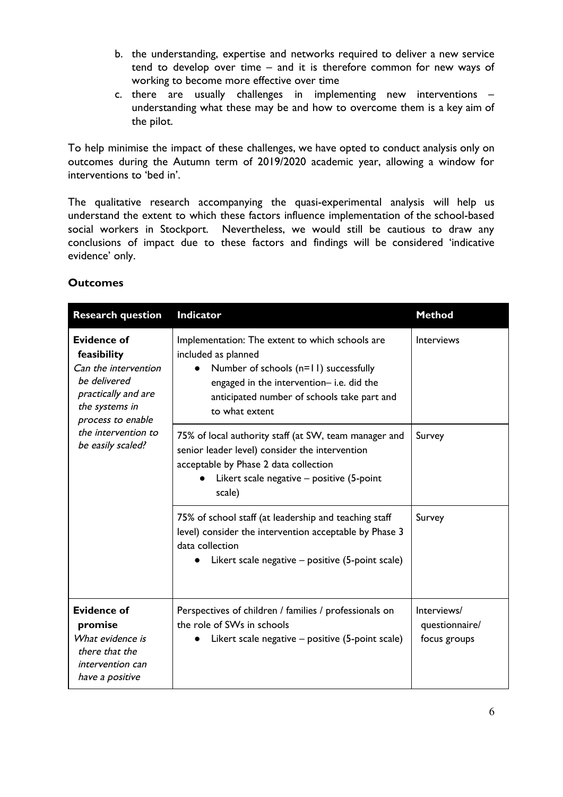- b. the understanding, expertise and networks required to deliver a new service tend to develop over time – and it is therefore common for new ways of working to become more effective over time
- c. there are usually challenges in implementing new interventions understanding what these may be and how to overcome them is a key aim of the pilot.

To help minimise the impact of these challenges, we have opted to conduct analysis only on outcomes during the Autumn term of 2019/2020 academic year, allowing a window for interventions to 'bed in'.

The qualitative research accompanying the quasi-experimental analysis will help us understand the extent to which these factors influence implementation of the school-based social workers in Stockport. Nevertheless, we would still be cautious to draw any conclusions of impact due to these factors and findings will be considered 'indicative evidence' only.

| <b>Research question</b>                                                                                                                                                            | <b>Indicator</b>                                                                                                                                                                                                             | <b>Method</b>                                 |
|-------------------------------------------------------------------------------------------------------------------------------------------------------------------------------------|------------------------------------------------------------------------------------------------------------------------------------------------------------------------------------------------------------------------------|-----------------------------------------------|
| <b>Evidence of</b><br>feasibility<br>Can the intervention<br>be delivered<br>practically and are<br>the systems in<br>process to enable<br>the intervention to<br>be easily scaled? | Implementation: The extent to which schools are<br>included as planned<br>Number of schools (n=11) successfully<br>engaged in the intervention-i.e. did the<br>anticipated number of schools take part and<br>to what extent | <b>Interviews</b>                             |
|                                                                                                                                                                                     | 75% of local authority staff (at SW, team manager and<br>senior leader level) consider the intervention<br>acceptable by Phase 2 data collection<br>Likert scale negative - positive (5-point<br>scale)                      | Survey                                        |
|                                                                                                                                                                                     | 75% of school staff (at leadership and teaching staff<br>level) consider the intervention acceptable by Phase 3<br>data collection<br>Likert scale negative – positive (5-point scale)                                       | Survey                                        |
| <b>Evidence of</b><br>promise<br>What evidence is<br>there that the<br>intervention can<br>have a positive                                                                          | Perspectives of children / families / professionals on<br>the role of SWs in schools<br>Likert scale negative - positive (5-point scale)                                                                                     | Interviews/<br>questionnaire/<br>focus groups |

### **Outcomes**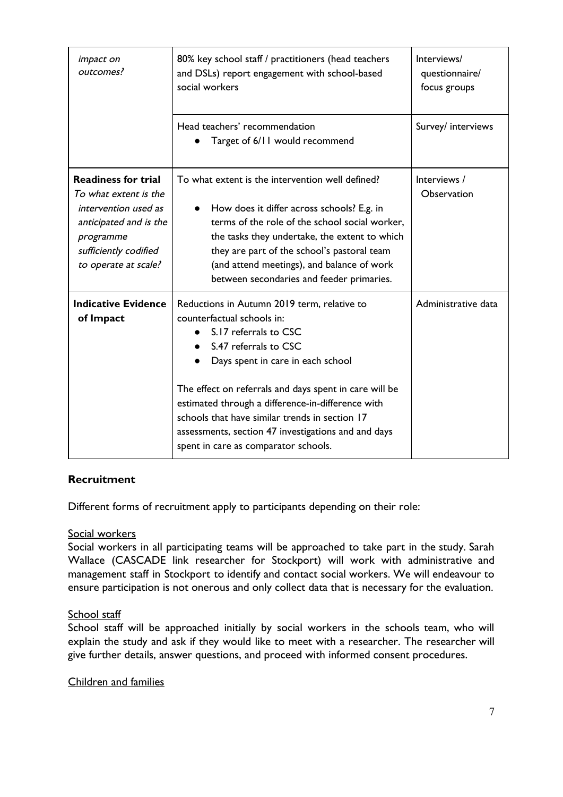| <i>impact on</i><br>outcomes?                                                                                                                                       | 80% key school staff / practitioners (head teachers<br>and DSLs) report engagement with school-based<br>social workers                                                                                                                                                                                                                                                                                                           | Interviews/<br>questionnaire/<br>focus groups |
|---------------------------------------------------------------------------------------------------------------------------------------------------------------------|----------------------------------------------------------------------------------------------------------------------------------------------------------------------------------------------------------------------------------------------------------------------------------------------------------------------------------------------------------------------------------------------------------------------------------|-----------------------------------------------|
|                                                                                                                                                                     | Head teachers' recommendation<br>Target of 6/11 would recommend                                                                                                                                                                                                                                                                                                                                                                  | Survey/ interviews                            |
| <b>Readiness for trial</b><br>To what extent is the<br>intervention used as<br>anticipated and is the<br>programme<br>sufficiently codified<br>to operate at scale? | To what extent is the intervention well defined?<br>How does it differ across schools? E.g. in<br>terms of the role of the school social worker,<br>the tasks they undertake, the extent to which<br>they are part of the school's pastoral team<br>(and attend meetings), and balance of work<br>between secondaries and feeder primaries.                                                                                      | Interviews /<br>Observation                   |
| <b>Indicative Evidence</b><br>of Impact                                                                                                                             | Reductions in Autumn 2019 term, relative to<br>counterfactual schools in:<br>S.17 referrals to CSC<br>S.47 referrals to CSC<br>Days spent in care in each school<br>The effect on referrals and days spent in care will be<br>estimated through a difference-in-difference with<br>schools that have similar trends in section 17<br>assessments, section 47 investigations and and days<br>spent in care as comparator schools. | Administrative data                           |

# **Recruitment**

Different forms of recruitment apply to participants depending on their role:

#### Social workers

Social workers in all participating teams will be approached to take part in the study. Sarah Wallace (CASCADE link researcher for Stockport) will work with administrative and management staff in Stockport to identify and contact social workers. We will endeavour to ensure participation is not onerous and only collect data that is necessary for the evaluation.

#### School staff

School staff will be approached initially by social workers in the schools team, who will explain the study and ask if they would like to meet with a researcher. The researcher will give further details, answer questions, and proceed with informed consent procedures.

#### Children and families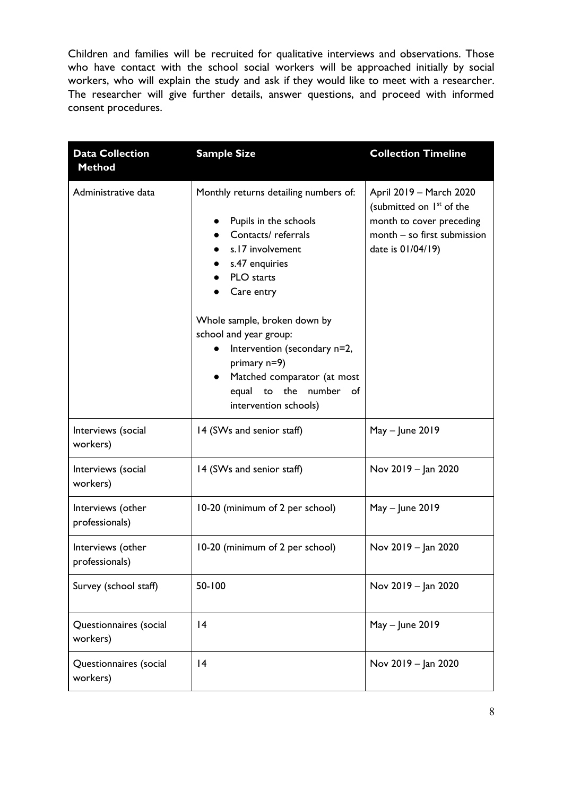Children and families will be recruited for qualitative interviews and observations. Those who have contact with the school social workers will be approached initially by social workers, who will explain the study and ask if they would like to meet with a researcher. The researcher will give further details, answer questions, and proceed with informed consent procedures.

| <b>Data Collection</b><br><b>Method</b> | <b>Sample Size</b>                                                                                                                                                                                                                                                                                                                                                          | <b>Collection Timeline</b>                                                                                                                      |
|-----------------------------------------|-----------------------------------------------------------------------------------------------------------------------------------------------------------------------------------------------------------------------------------------------------------------------------------------------------------------------------------------------------------------------------|-------------------------------------------------------------------------------------------------------------------------------------------------|
| Administrative data                     | Monthly returns detailing numbers of:<br>Pupils in the schools<br>Contacts/referrals<br>s.17 involvement<br>s.47 enquiries<br>PLO starts<br>Care entry<br>Whole sample, broken down by<br>school and year group:<br>Intervention (secondary n=2,<br>primary $n=9$ )<br>Matched comparator (at most<br>$\bullet$<br>the<br>number of<br>equal<br>to<br>intervention schools) | April 2019 - March 2020<br>(submitted on 1 <sup>st</sup> of the<br>month to cover preceding<br>month - so first submission<br>date is 01/04/19) |
| Interviews (social<br>workers)          | 14 (SWs and senior staff)                                                                                                                                                                                                                                                                                                                                                   | $May - June 2019$                                                                                                                               |
| Interviews (social<br>workers)          | 14 (SWs and senior staff)                                                                                                                                                                                                                                                                                                                                                   | Nov 2019 - Jan 2020                                                                                                                             |
| Interviews (other<br>professionals)     | 10-20 (minimum of 2 per school)                                                                                                                                                                                                                                                                                                                                             | $May - June 2019$                                                                                                                               |
| Interviews (other<br>professionals)     | 10-20 (minimum of 2 per school)                                                                                                                                                                                                                                                                                                                                             | Nov 2019 - Jan 2020                                                                                                                             |
| Survey (school staff)                   | 50-100                                                                                                                                                                                                                                                                                                                                                                      | Nov 2019 - Jan 2020                                                                                                                             |
| Questionnaires (social<br>workers)      | 4                                                                                                                                                                                                                                                                                                                                                                           | $May - June 2019$                                                                                                                               |
| Questionnaires (social<br>workers)      | 4                                                                                                                                                                                                                                                                                                                                                                           | Nov 2019 - Jan 2020                                                                                                                             |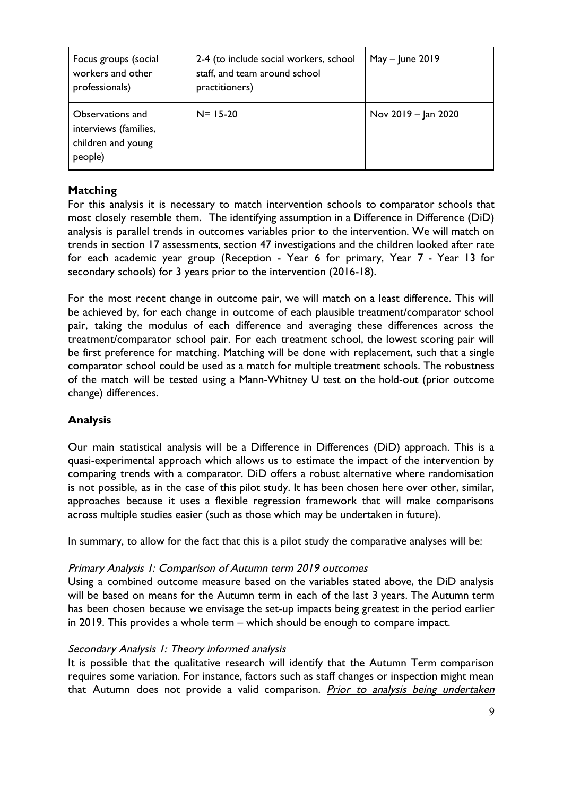| Focus groups (social<br>workers and other<br>professionals)                | 2-4 (to include social workers, school<br>staff, and team around school<br>practitioners) | $May - June 2019$   |
|----------------------------------------------------------------------------|-------------------------------------------------------------------------------------------|---------------------|
| Observations and<br>interviews (families,<br>children and young<br>people) | $N = 15-20$                                                                               | Nov 2019 – Jan 2020 |

# **Matching**

For this analysis it is necessary to match intervention schools to comparator schools that most closely resemble them. The identifying assumption in a Difference in Difference (DiD) analysis is parallel trends in outcomes variables prior to the intervention. We will match on trends in section 17 assessments, section 47 investigations and the children looked after rate for each academic year group (Reception - Year 6 for primary, Year 7 - Year 13 for secondary schools) for 3 years prior to the intervention (2016-18).

For the most recent change in outcome pair, we will match on a least difference. This will be achieved by, for each change in outcome of each plausible treatment/comparator school pair, taking the modulus of each difference and averaging these differences across the treatment/comparator school pair. For each treatment school, the lowest scoring pair will be first preference for matching. Matching will be done with replacement, such that a single comparator school could be used as a match for multiple treatment schools. The robustness of the match will be tested using a Mann-Whitney U test on the hold-out (prior outcome change) differences.

# **Analysis**

Our main statistical analysis will be a Difference in Differences (DiD) approach. This is a quasi-experimental approach which allows us to estimate the impact of the intervention by comparing trends with a comparator. DiD offers a robust alternative where randomisation is not possible, as in the case of this pilot study. It has been chosen here over other, similar, approaches because it uses a flexible regression framework that will make comparisons across multiple studies easier (such as those which may be undertaken in future).

In summary, to allow for the fact that this is a pilot study the comparative analyses will be:

### Primary Analysis 1: Comparison of Autumn term 2019 outcomes

Using a combined outcome measure based on the variables stated above, the DiD analysis will be based on means for the Autumn term in each of the last 3 years. The Autumn term has been chosen because we envisage the set-up impacts being greatest in the period earlier in 2019. This provides a whole term – which should be enough to compare impact.

### Secondary Analysis 1: Theory informed analysis

It is possible that the qualitative research will identify that the Autumn Term comparison requires some variation. For instance, factors such as staff changes or inspection might mean that Autumn does not provide a valid comparison. Prior to analysis being undertaken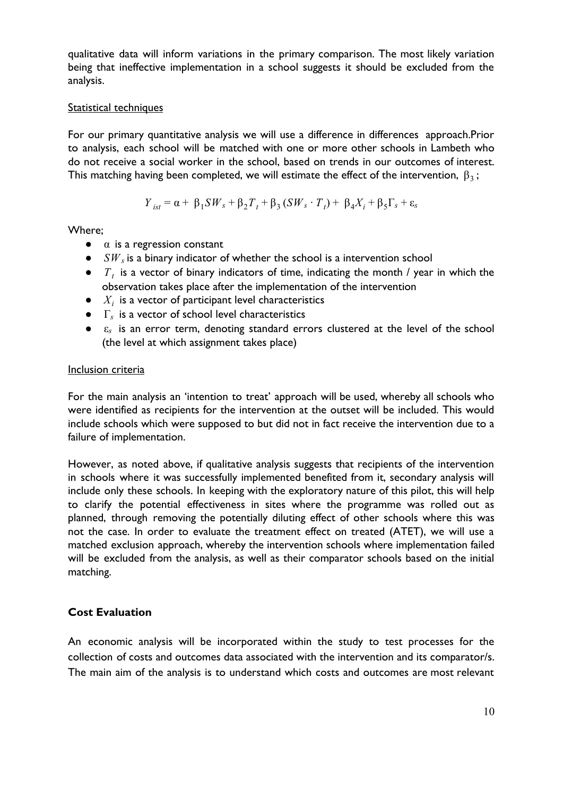qualitative data will inform variations in the primary comparison. The most likely variation being that ineffective implementation in a school suggests it should be excluded from the analysis.

#### Statistical techniques

For our primary quantitative analysis we will use a difference in differences approach.Prior to analysis, each school will be matched with one or more other schools in Lambeth who do not receive a social worker in the school, based on trends in our outcomes of interest. This matching having been completed, we will estimate the effect of the intervention,  $\beta_3$ ;

$$
Y_{ist} = \alpha + \beta_1 SW_s + \beta_2 T_t + \beta_3 (SW_s \cdot T_t) + \beta_4 X_i + \beta_5 \Gamma_s + \varepsilon_s
$$

Where;

- $\bullet$   $\alpha$  is a regression constant
- $\bullet$  *SW<sub>s</sub>* is a binary indicator of whether the school is a intervention school
- $\bullet$  *T<sub>t</sub>* is a vector of binary indicators of time, indicating the month / year in which the observation takes place after the implementation of the intervention
- $\bullet$  *X<sub>i</sub>* is a vector of participant level characteristics
- Γ*s* is a vector of school level characteristics
- ε*<sup>s</sup>* is an error term, denoting standard errors clustered at the level of the school (the level at which assignment takes place)

#### Inclusion criteria

For the main analysis an 'intention to treat' approach will be used, whereby all schools who were identified as recipients for the intervention at the outset will be included. This would include schools which were supposed to but did not in fact receive the intervention due to a failure of implementation.

However, as noted above, if qualitative analysis suggests that recipients of the intervention in schools where it was successfully implemented benefited from it, secondary analysis will include only these schools. In keeping with the exploratory nature of this pilot, this will help to clarify the potential effectiveness in sites where the programme was rolled out as planned, through removing the potentially diluting effect of other schools where this was not the case. In order to evaluate the treatment effect on treated (ATET), we will use a matched exclusion approach, whereby the intervention schools where implementation failed will be excluded from the analysis, as well as their comparator schools based on the initial matching.

### **Cost Evaluation**

An economic analysis will be incorporated within the study to test processes for the collection of costs and outcomes data associated with the intervention and its comparator/s. The main aim of the analysis is to understand which costs and outcomes are most relevant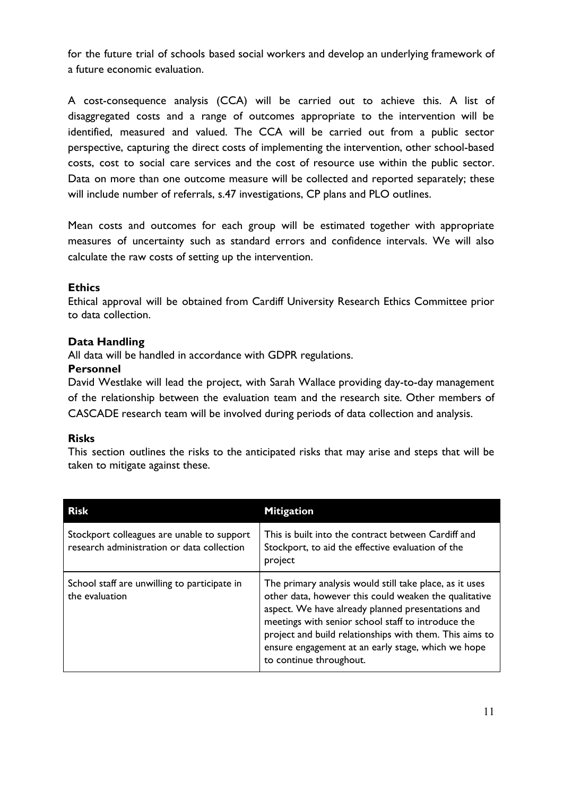for the future trial of schools based social workers and develop an underlying framework of a future economic evaluation.

A cost-consequence analysis (CCA) will be carried out to achieve this. A list of disaggregated costs and a range of outcomes appropriate to the intervention will be identified, measured and valued. The CCA will be carried out from a public sector perspective, capturing the direct costs of implementing the intervention, other school-based costs, cost to social care services and the cost of resource use within the public sector. Data on more than one outcome measure will be collected and reported separately; these will include number of referrals, s.47 investigations, CP plans and PLO outlines.

Mean costs and outcomes for each group will be estimated together with appropriate measures of uncertainty such as standard errors and confidence intervals. We will also calculate the raw costs of setting up the intervention.

### **Ethics**

Ethical approval will be obtained from Cardiff University Research Ethics Committee prior to data collection.

### **Data Handling**

All data will be handled in accordance with GDPR regulations.

### **Personnel**

David Westlake will lead the project, with Sarah Wallace providing day-to-day management of the relationship between the evaluation team and the research site. Other members of CASCADE research team will be involved during periods of data collection and analysis.

### **Risks**

This section outlines the risks to the anticipated risks that may arise and steps that will be taken to mitigate against these.

| <b>Risk</b>                                                                              | <b>Mitigation</b>                                                                                                                                                                                                                                                                                                                                                       |
|------------------------------------------------------------------------------------------|-------------------------------------------------------------------------------------------------------------------------------------------------------------------------------------------------------------------------------------------------------------------------------------------------------------------------------------------------------------------------|
| Stockport colleagues are unable to support<br>research administration or data collection | This is built into the contract between Cardiff and<br>Stockport, to aid the effective evaluation of the<br>project                                                                                                                                                                                                                                                     |
| School staff are unwilling to participate in<br>the evaluation                           | The primary analysis would still take place, as it uses<br>other data, however this could weaken the qualitative<br>aspect. We have already planned presentations and<br>meetings with senior school staff to introduce the<br>project and build relationships with them. This aims to<br>ensure engagement at an early stage, which we hope<br>to continue throughout. |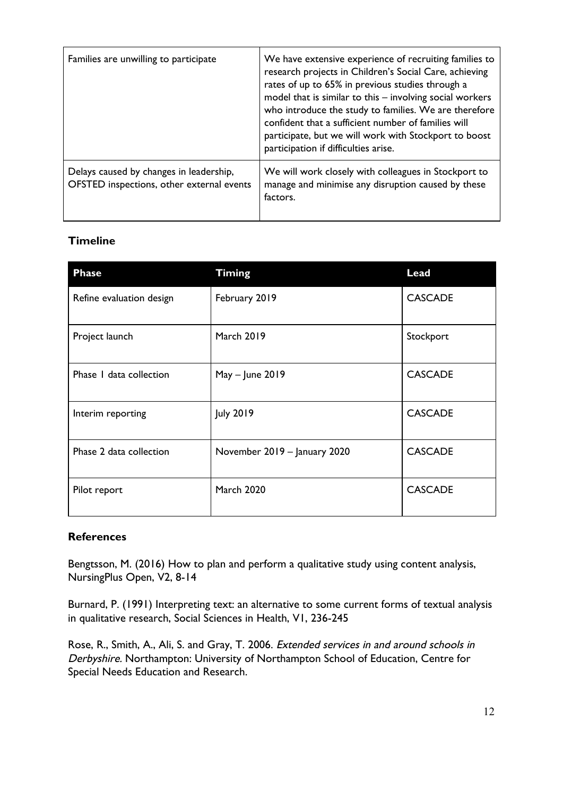| Families are unwilling to participate                                                | We have extensive experience of recruiting families to<br>research projects in Children's Social Care, achieving<br>rates of up to 65% in previous studies through a<br>model that is similar to this - involving social workers<br>who introduce the study to families. We are therefore<br>confident that a sufficient number of families will<br>participate, but we will work with Stockport to boost<br>participation if difficulties arise. |
|--------------------------------------------------------------------------------------|---------------------------------------------------------------------------------------------------------------------------------------------------------------------------------------------------------------------------------------------------------------------------------------------------------------------------------------------------------------------------------------------------------------------------------------------------|
| Delays caused by changes in leadership,<br>OFSTED inspections, other external events | We will work closely with colleagues in Stockport to<br>manage and minimise any disruption caused by these<br>factors.                                                                                                                                                                                                                                                                                                                            |

# **Timeline**

| <b>Phase</b>             | <b>Timing</b>                | <b>Lead</b>    |
|--------------------------|------------------------------|----------------|
| Refine evaluation design | February 2019                | <b>CASCADE</b> |
| Project launch           | <b>March 2019</b>            | Stockport      |
| Phase I data collection  | May - June 2019              | <b>CASCADE</b> |
| Interim reporting        | July 2019                    | <b>CASCADE</b> |
| Phase 2 data collection  | November 2019 - January 2020 | <b>CASCADE</b> |
| Pilot report             | <b>March 2020</b>            | <b>CASCADE</b> |

### **References**

Bengtsson, M. (2016) How to plan and perform a qualitative study using content analysis, NursingPlus Open, V2, 8-14

Burnard, P. (1991) Interpreting text: an alternative to some current forms of textual analysis in qualitative research, Social Sciences in Health, V1, 236-245

Rose, R., Smith, A., Ali, S. and Gray, T. 2006. Extended services in and around schools in Derbyshire. Northampton: University of Northampton School of Education, Centre for Special Needs Education and Research.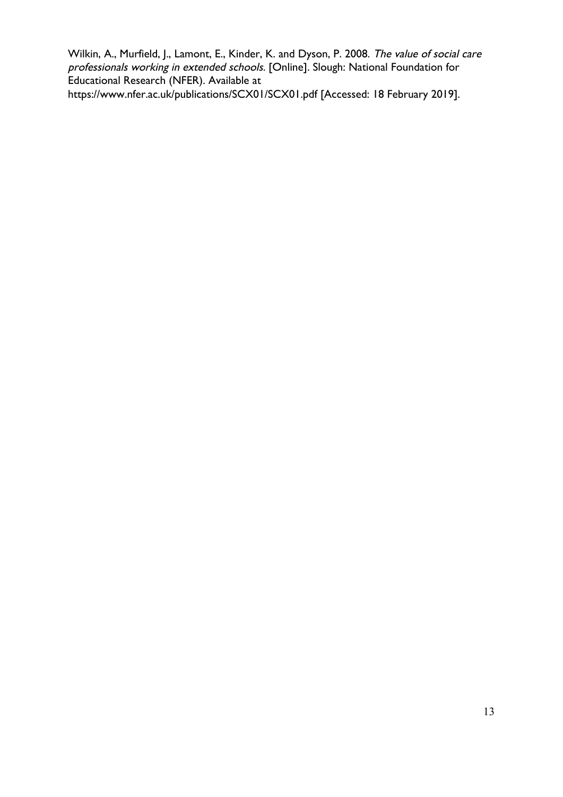Wilkin, A., Murfield, J., Lamont, E., Kinder, K. and Dyson, P. 2008. The value of social care professionals working in extended schools. [Online]. Slough: National Foundation for Educational Research (NFER). Available at https://www.nfer.ac.uk/publications/SCX01/SCX01.pdf [Accessed: 18 February 2019].